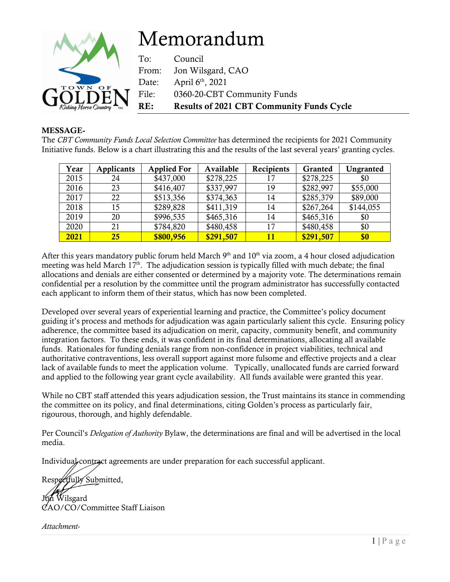

## MESSAGE-

The *CBT Community Funds Local Selection Committee* has determined the recipients for 2021 Community Initiative funds. Below is a chart illustrating this and the results of the last several years' granting cycles.

| Year | <b>Applicants</b> | <b>Applied For</b> | Available | Recipients | Granted   | Ungranted |
|------|-------------------|--------------------|-----------|------------|-----------|-----------|
| 2015 | 24                | \$437,000          | \$278,225 | 17         | \$278,225 | \$0       |
| 2016 | 23                | \$416,407          | \$337,997 | 19         | \$282,997 | \$55,000  |
| 2017 | 22                | \$513,356          | \$374,363 | 14         | \$285,379 | \$89,000  |
| 2018 | 15                | \$289,828          | \$411,319 | 14         | \$267,264 | \$144,055 |
| 2019 | 20                | \$996,535          | \$465,316 | 14         | \$465,316 | \$0       |
| 2020 | 21                | \$784,820          | \$480,458 | 17         | \$480,458 | \$0       |
| 2021 | 25                | \$800,956          | \$291,507 | 11         | \$291,507 | \$0       |

After this years mandatory public forum held March 9<sup>th</sup> and 10<sup>th</sup> via zoom, a 4 hour closed adjudication meeting was held March  $17<sup>th</sup>$ . The adjudication session is typically filled with much debate; the final allocations and denials are either consented or determined by a majority vote. The determinations remain confidential per a resolution by the committee until the program administrator has successfully contacted each applicant to inform them of their status, which has now been completed.

Developed over several years of experiential learning and practice, the Committee's policy document guiding it's process and methods for adjudication was again particularly salient this cycle. Ensuring policy adherence, the committee based its adjudication on merit, capacity, community benefit, and community integration factors. To these ends, it was confident in its final determinations, allocating all available funds. Rationales for funding denials range from non-confidence in project viabilities, technical and authoritative contraventions, less overall support against more fulsome and effective projects and a clear lack of available funds to meet the application volume. Typically, unallocated funds are carried forward and applied to the following year grant cycle availability. All funds available were granted this year.

While no CBT staff attended this years adjudication session, the Trust maintains its stance in commending the committee on its policy, and final determinations, citing Golden's process as particularly fair, rigourous, thorough, and highly defendable.

Per Council's *Delegation of Authority* Bylaw, the determinations are final and will be advertised in the local media.

Individual contract agreements are under preparation for each successful applicant.

Respectfully Submitted, Joh Wilsgard CAO/CO/Committee Staff Liaison

*Attachment-*